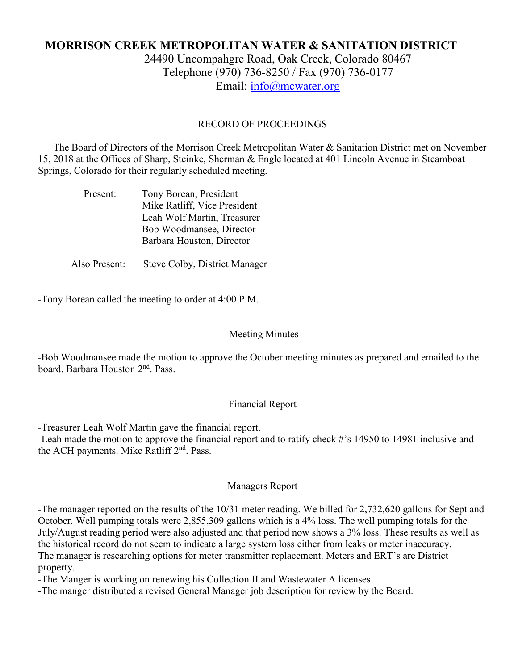# **MORRISON CREEK METROPOLITAN WATER & SANITATION DISTRICT**

24490 Uncompahgre Road, Oak Creek, Colorado 80467 Telephone (970) 736-8250 / Fax (970) 736-0177 Email: [info@mcwater.org](mailto:info@mcwater.org)

#### RECORD OF PROCEEDINGS

 The Board of Directors of the Morrison Creek Metropolitan Water & Sanitation District met on November 15, 2018 at the Offices of Sharp, Steinke, Sherman & Engle located at 401 Lincoln Avenue in Steamboat Springs, Colorado for their regularly scheduled meeting.

| Present: | Tony Borean, President       |
|----------|------------------------------|
|          | Mike Ratliff, Vice President |
|          | Leah Wolf Martin, Treasurer  |
|          | Bob Woodmansee, Director     |
|          | Barbara Houston, Director    |
|          |                              |

Also Present: Steve Colby, District Manager

-Tony Borean called the meeting to order at 4:00 P.M.

#### Meeting Minutes

-Bob Woodmansee made the motion to approve the October meeting minutes as prepared and emailed to the board. Barbara Houston 2nd. Pass.

#### Financial Report

-Treasurer Leah Wolf Martin gave the financial report.

-Leah made the motion to approve the financial report and to ratify check #'s 14950 to 14981 inclusive and the ACH payments. Mike Ratliff 2<sup>nd</sup>. Pass.

#### Managers Report

-The manager reported on the results of the 10/31 meter reading. We billed for 2,732,620 gallons for Sept and October. Well pumping totals were 2,855,309 gallons which is a 4% loss. The well pumping totals for the July/August reading period were also adjusted and that period now shows a 3% loss. These results as well as the historical record do not seem to indicate a large system loss either from leaks or meter inaccuracy. The manager is researching options for meter transmitter replacement. Meters and ERT's are District property.

-The Manger is working on renewing his Collection II and Wastewater A licenses.

-The manger distributed a revised General Manager job description for review by the Board.